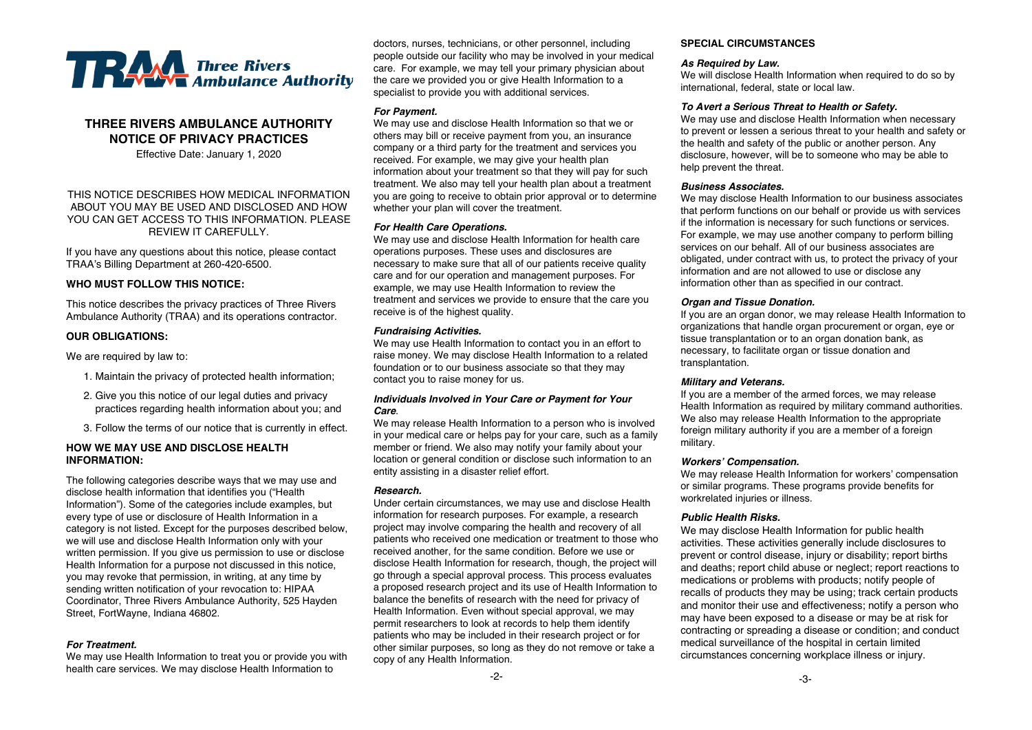

# **THREE RIVERS AMBULANCE AUTHORITY NOTICE OF PRIVACY PRACTICES**

Effective Date: January 1, 2020

### THIS NOTICE DESCRIBES HOW MEDICAL INFORMATION ABOUT YOU MAY BE USED AND DISCLOSED AND HOW YOU CAN GET ACCESS TO THIS INFORMATION. PLEASE REVIEW IT CAREFULLY.

If you have any questions about this notice, please contact TRAA's Billing Department at 260-420-6500.

### **WHO MUST FOLLOW THIS NOTICE:**

This notice describes the privacy practices of Three Rivers Ambulance Authority (TRAA) and its operations contractor.

### **OUR OBLIGATIONS:**

We are required by law to:

- 1. Maintain the privacy of protected health information;
- 2. Give you this notice of our legal duties and privacy practices regarding health information about you; and
- 3. Follow the terms of our notice that is currently in effect.

### **HOW WE MAY USE AND DISCLOSE HEALTH INFORMATION:**

The following categories describe ways that we may use and disclose health information that identifies you ("Health Information"). Some of the categories include examples, but every type of use or disclosure of Health Information in a category is not listed. Except for the purposes described below, we will use and disclose Health Information only with your written permission. If you give us permission to use or disclose Health Information for a purpose not discussed in this notice, you may revoke that permission, in writing, at any time by sending written notification of your revocation to: HIPAA Coordinator, Three Rivers Ambulance Authority, 525 Hayden Street, FortWayne, Indiana 46802.

### *For Treatment.*

We may use Health Information to treat you or provide you with health care services. We may disclose Health Information to

doctors, nurses, technicians, or other personnel, including people outside our facility who may be involved in your medical care. For example, we may tell your primary physician about the care we provided you or give Health Information to a specialist to provide you with additional services.

### *For Payment.*

We may use and disclose Health Information so that we or others may bill or receive payment from you, an insurance company or a third party for the treatment and services you received. For example, we may give your health plan information about your treatment so that they will pay for such treatment. We also may tell your health plan about a treatment you are going to receive to obtain prior approval or to determine whether your plan will cover the treatment.

### *For Health Care Operations.*

We may use and disclose Health Information for health care operations purposes. These uses and disclosures are necessary to make sure that all of our patients receive quality care and for our operation and management purposes. For example, we may use Health Information to review the treatment and services we provide to ensure that the care you receive is of the highest quality.

### *Fundraising Activities.*

We may use Health Information to contact you in an effort to raise money. We may disclose Health Information to a related foundation or to our business associate so that they may contact you to raise money for us.

#### *Individuals Involved in Your Care or Payment for Your Care*.

We may release Health Information to a person who is involved in your medical care or helps pay for your care, such as a family member or friend. We also may notify your family about your location or general condition or disclose such information to an entity assisting in a disaster relief effort.

#### *Research.*

Under certain circumstances, we may use and disclose Health information for research purposes. For example, a research project may involve comparing the health and recovery of all patients who received one medication or treatment to those who received another, for the same condition. Before we use or disclose Health Information for research, though, the project will go through a special approval process. This process evaluates a proposed research project and its use of Health Information to balance the benefits of research with the need for privacy of Health Information. Even without special approval, we may permit researchers to look at records to help them identify patients who may be included in their research project or for other similar purposes, so long as they do not remove or take a copy of any Health Information.

### **SPECIAL CIRCUMSTANCES**

### *As Required by Law.*

We will disclose Health Information when required to do so by international, federal, state or local law.

#### *To Avert a Serious Threat to Health or Safety.*

We may use and disclose Health Information when necessary to prevent or lessen a serious threat to your health and safety or the health and safety of the public or another person. Any disclosure, however, will be to someone who may be able to help prevent the threat.

#### *Business Associates.*

We may disclose Health Information to our business associates that perform functions on our behalf or provide us with services if the information is necessary for such functions or services. For example, we may use another company to perform billing services on our behalf. All of our business associates are obligated, under contract with us, to protect the privacy of your information and are not allowed to use or disclose any information other than as specified in our contract.

### *Organ and Tissue Donation.*

If you are an organ donor, we may release Health Information to organizations that handle organ procurement or organ, eye or tissue transplantation or to an organ donation bank, as necessary, to facilitate organ or tissue donation and transplantation.

#### *Military and Veterans.*

If you are a member of the armed forces, we may release Health Information as required by military command authorities. We also may release Health Information to the appropriate foreign military authority if you are a member of a foreign military.

#### *Workers' Compensation.*

We may release Health Information for workers' compensation or similar programs. These programs provide benefits for workrelated injuries or illness.

### *Public Health Risks.*

We may disclose Health Information for public health activities. These activities generally include disclosures to prevent or control disease, injury or disability; report births and deaths; report child abuse or neglect; report reactions to medications or problems with products; notify people of recalls of products they may be using; track certain products and monitor their use and effectiveness; notify a person who may have been exposed to a disease or may be at risk for contracting or spreading a disease or condition; and conduct medical surveillance of the hospital in certain limited circumstances concerning workplace illness or injury.